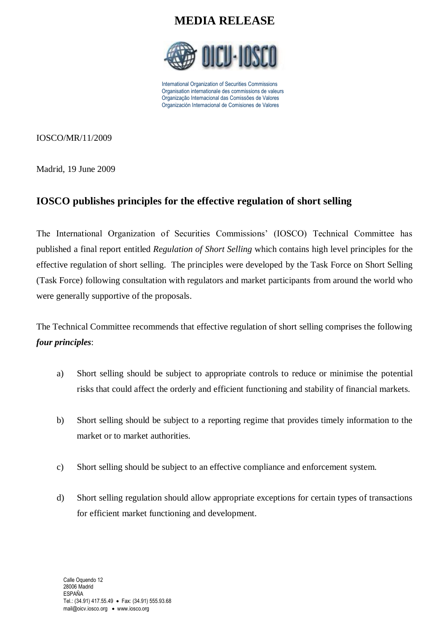

International Organization of Securities Commissions Organisation internationale des commissions de valeurs Organização Internacional das Comissões de Valores Organización Internacional de Comisiones de Valores

IOSCO/MR/11/2009

Madrid, 19 June 2009

### **IOSCO publishes principles for the effective regulation of short selling**

The International Organization of Securities Commissions' (IOSCO) Technical Committee has published a final report entitled *Regulation of Short Selling* which contains high level principles for the effective regulation of short selling. The principles were developed by the Task Force on Short Selling (Task Force) following consultation with regulators and market participants from around the world who were generally supportive of the proposals.

The Technical Committee recommends that effective regulation of short selling comprises the following *four principles*:

- a) Short selling should be subject to appropriate controls to reduce or minimise the potential risks that could affect the orderly and efficient functioning and stability of financial markets.
- b) Short selling should be subject to a reporting regime that provides timely information to the market or to market authorities.
- c) Short selling should be subject to an effective compliance and enforcement system.
- d) Short selling regulation should allow appropriate exceptions for certain types of transactions for efficient market functioning and development.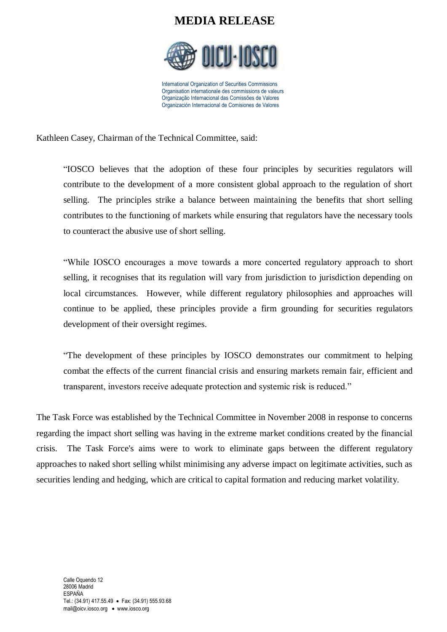

International Organization of Securities Commissions Organisation internationale des commissions de valeurs Organização Internacional das Comissões de Valores Organización Internacional de Comisiones de Valores

Kathleen Casey, Chairman of the Technical Committee, said:

"IOSCO believes that the adoption of these four principles by securities regulators will contribute to the development of a more consistent global approach to the regulation of short selling. The principles strike a balance between maintaining the benefits that short selling contributes to the functioning of markets while ensuring that regulators have the necessary tools to counteract the abusive use of short selling.

"While IOSCO encourages a move towards a more concerted regulatory approach to short selling, it recognises that its regulation will vary from jurisdiction to jurisdiction depending on local circumstances. However, while different regulatory philosophies and approaches will continue to be applied, these principles provide a firm grounding for securities regulators development of their oversight regimes.

"The development of these principles by IOSCO demonstrates our commitment to helping combat the effects of the current financial crisis and ensuring markets remain fair, efficient and transparent, investors receive adequate protection and systemic risk is reduced."

The Task Force was established by the Technical Committee in November 2008 in response to concerns regarding the impact short selling was having in the extreme market conditions created by the financial crisis. The Task Force's aims were to work to eliminate gaps between the different regulatory approaches to naked short selling whilst minimising any adverse impact on legitimate activities, such as securities lending and hedging, which are critical to capital formation and reducing market volatility.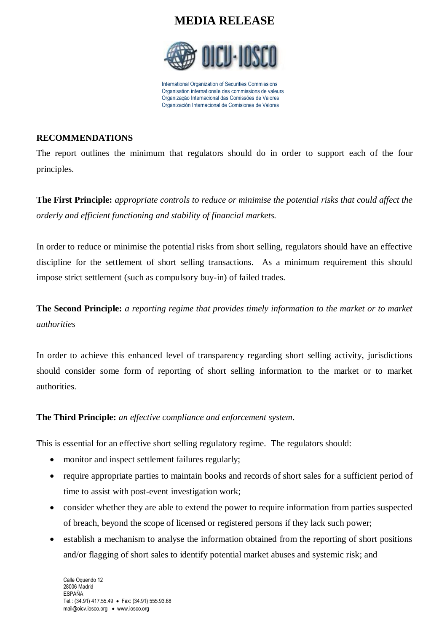

International Organization of Securities Commissions Organisation internationale des commissions de valeurs Organização Internacional das Comissões de Valores Organización Internacional de Comisiones de Valores

#### **RECOMMENDATIONS**

The report outlines the minimum that regulators should do in order to support each of the four principles.

**The First Principle:** *appropriate controls to reduce or minimise the potential risks that could affect the orderly and efficient functioning and stability of financial markets.*

In order to reduce or minimise the potential risks from short selling, regulators should have an effective discipline for the settlement of short selling transactions. As a minimum requirement this should impose strict settlement (such as compulsory buy-in) of failed trades.

**The Second Principle:** *a reporting regime that provides timely information to the market or to market authorities*

In order to achieve this enhanced level of transparency regarding short selling activity, jurisdictions should consider some form of reporting of short selling information to the market or to market authorities.

### **The Third Principle:** *an effective compliance and enforcement system*.

This is essential for an effective short selling regulatory regime. The regulators should:

- monitor and inspect settlement failures regularly;
- require appropriate parties to maintain books and records of short sales for a sufficient period of time to assist with post-event investigation work;
- consider whether they are able to extend the power to require information from parties suspected of breach, beyond the scope of licensed or registered persons if they lack such power;
- establish a mechanism to analyse the information obtained from the reporting of short positions and/or flagging of short sales to identify potential market abuses and systemic risk; and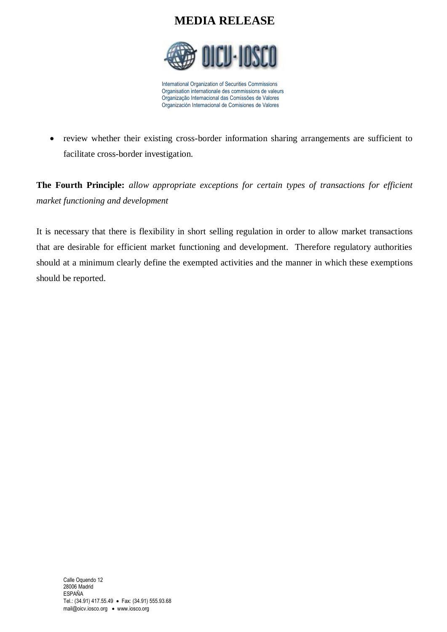

International Organization of Securities Commissions Organisation internationale des commissions de valeurs Organização Internacional das Comissões de Valores Organización Internacional de Comisiones de Valores

• review whether their existing cross-border information sharing arrangements are sufficient to facilitate cross-border investigation.

**The Fourth Principle:** *allow appropriate exceptions for certain types of transactions for efficient market functioning and development*

It is necessary that there is flexibility in short selling regulation in order to allow market transactions that are desirable for efficient market functioning and development. Therefore regulatory authorities should at a minimum clearly define the exempted activities and the manner in which these exemptions should be reported.